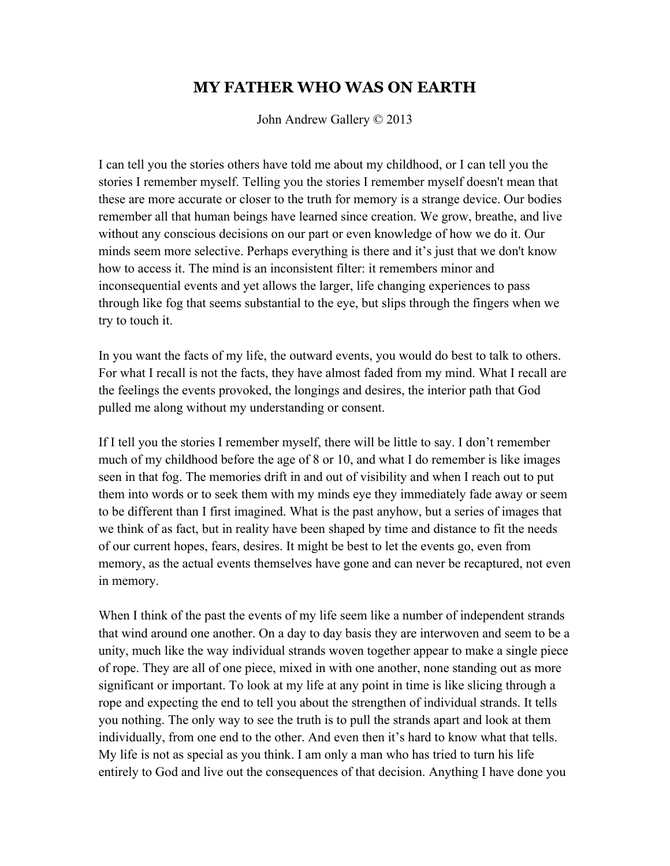## **MY FATHER WHO WAS ON EARTH**

John Andrew Gallery © 2013

I can tell you the stories others have told me about my childhood, or I can tell you the stories I remember myself. Telling you the stories I remember myself doesn't mean that these are more accurate or closer to the truth for memory is a strange device. Our bodies remember all that human beings have learned since creation. We grow, breathe, and live without any conscious decisions on our part or even knowledge of how we do it. Our minds seem more selective. Perhaps everything is there and it's just that we don't know how to access it. The mind is an inconsistent filter: it remembers minor and inconsequential events and yet allows the larger, life changing experiences to pass through like fog that seems substantial to the eye, but slips through the fingers when we try to touch it.

In you want the facts of my life, the outward events, you would do best to talk to others. For what I recall is not the facts, they have almost faded from my mind. What I recall are the feelings the events provoked, the longings and desires, the interior path that God pulled me along without my understanding or consent.

If I tell you the stories I remember myself, there will be little to say. I don't remember much of my childhood before the age of 8 or 10, and what I do remember is like images seen in that fog. The memories drift in and out of visibility and when I reach out to put them into words or to seek them with my minds eye they immediately fade away or seem to be different than I first imagined. What is the past anyhow, but a series of images that we think of as fact, but in reality have been shaped by time and distance to fit the needs of our current hopes, fears, desires. It might be best to let the events go, even from memory, as the actual events themselves have gone and can never be recaptured, not even in memory.

When I think of the past the events of my life seem like a number of independent strands that wind around one another. On a day to day basis they are interwoven and seem to be a unity, much like the way individual strands woven together appear to make a single piece of rope. They are all of one piece, mixed in with one another, none standing out as more significant or important. To look at my life at any point in time is like slicing through a rope and expecting the end to tell you about the strengthen of individual strands. It tells you nothing. The only way to see the truth is to pull the strands apart and look at them individually, from one end to the other. And even then it's hard to know what that tells. My life is not as special as you think. I am only a man who has tried to turn his life entirely to God and live out the consequences of that decision. Anything I have done you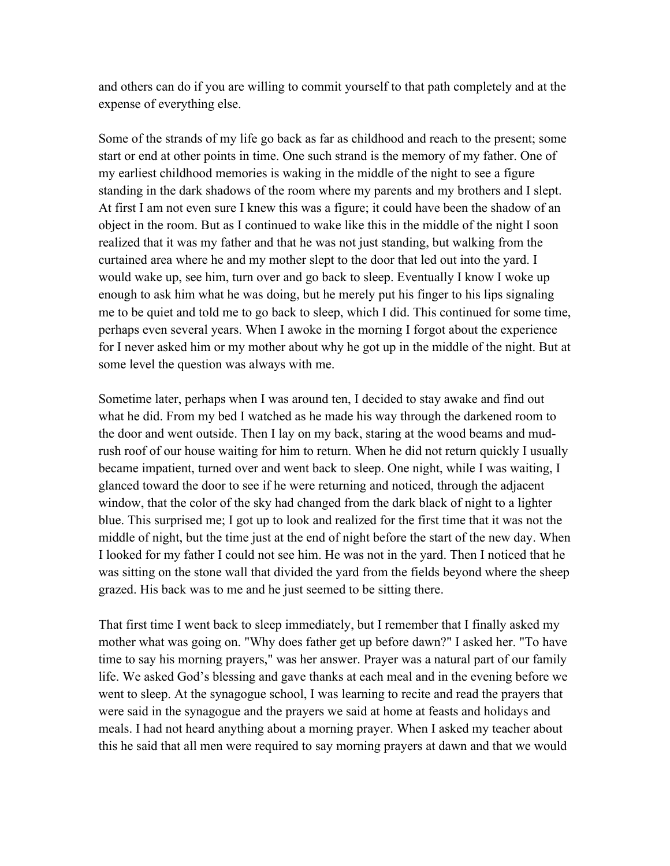and others can do if you are willing to commit yourself to that path completely and at the expense of everything else.

Some of the strands of my life go back as far as childhood and reach to the present; some start or end at other points in time. One such strand is the memory of my father. One of my earliest childhood memories is waking in the middle of the night to see a figure standing in the dark shadows of the room where my parents and my brothers and I slept. At first I am not even sure I knew this was a figure; it could have been the shadow of an object in the room. But as I continued to wake like this in the middle of the night I soon realized that it was my father and that he was not just standing, but walking from the curtained area where he and my mother slept to the door that led out into the yard. I would wake up, see him, turn over and go back to sleep. Eventually I know I woke up enough to ask him what he was doing, but he merely put his finger to his lips signaling me to be quiet and told me to go back to sleep, which I did. This continued for some time, perhaps even several years. When I awoke in the morning I forgot about the experience for I never asked him or my mother about why he got up in the middle of the night. But at some level the question was always with me.

Sometime later, perhaps when I was around ten, I decided to stay awake and find out what he did. From my bed I watched as he made his way through the darkened room to the door and went outside. Then I lay on my back, staring at the wood beams and mudrush roof of our house waiting for him to return. When he did not return quickly I usually became impatient, turned over and went back to sleep. One night, while I was waiting, I glanced toward the door to see if he were returning and noticed, through the adjacent window, that the color of the sky had changed from the dark black of night to a lighter blue. This surprised me; I got up to look and realized for the first time that it was not the middle of night, but the time just at the end of night before the start of the new day. When I looked for my father I could not see him. He was not in the yard. Then I noticed that he was sitting on the stone wall that divided the yard from the fields beyond where the sheep grazed. His back was to me and he just seemed to be sitting there.

That first time I went back to sleep immediately, but I remember that I finally asked my mother what was going on. "Why does father get up before dawn?" I asked her. "To have time to say his morning prayers," was her answer. Prayer was a natural part of our family life. We asked God's blessing and gave thanks at each meal and in the evening before we went to sleep. At the synagogue school, I was learning to recite and read the prayers that were said in the synagogue and the prayers we said at home at feasts and holidays and meals. I had not heard anything about a morning prayer. When I asked my teacher about this he said that all men were required to say morning prayers at dawn and that we would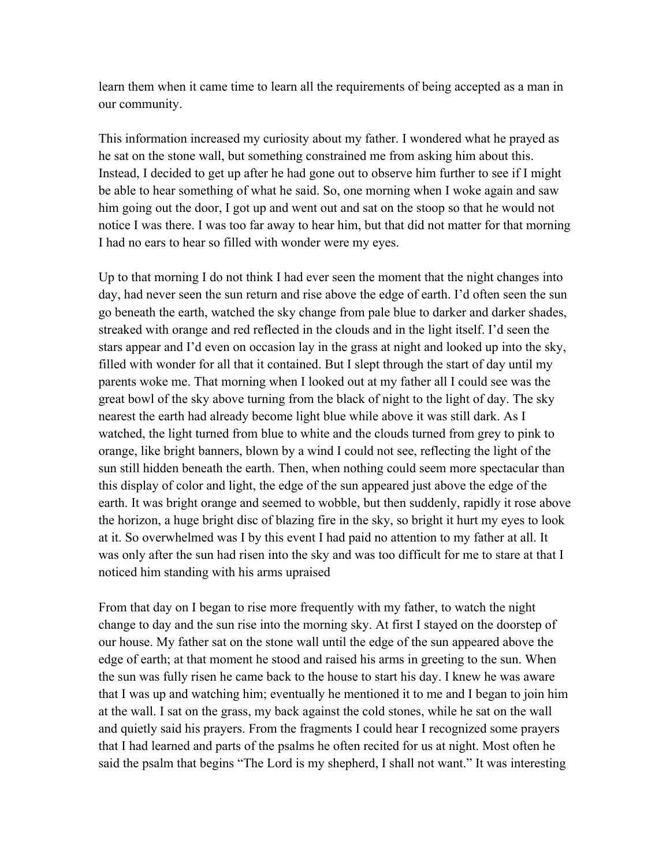learn them when it came time to learn all the requirements of being accepted as a man in our community.

This information increased my curiosity about my father. I wondered what he prayed as he sat on the stone wall, but something constrained me from asking him about this. Instead, I decided to get up after he had gone out to observe him further to see if I might be able to hear something of what he said. So, one morning when I woke again and saw him going out the door, I got up and went out and sat on the stoop so that he would not notice I was there. I was too far away to hear him, but that did not matter for that morning I had no ears to hear so filled with wonder were my eyes.

Up to that morning I do not think I had ever seen the moment that the night changes into day, had never seen the sun return and rise above the edge of earth. I'd often seen the sun go beneath the earth, watched the sky change from pale blue to darker and darker shades, streaked with orange and red reflected in the clouds and in the light itself. I'd seen the stars appear and I'd even on occasion lay in the grass at night and looked up into the sky, filled with wonder for all that it contained. But I slept through the start of day until my parents woke me. That morning when I looked out at my father all I could see was the great bowl of the sky above turning from the black of night to the light of day. The sky nearest the earth had already become light blue while above it was still dark. As I watched, the light turned from blue to white and the clouds turned from grey to pink to orange, like bright banners, blown by a wind I could not see, reflecting the light of the sun still hidden beneath the earth. Then, when nothing could seem more spectacular than this display of color and light, the edge of the sun appeared just above the edge of the earth. It was bright orange and seemed to wobble, but then suddenly, rapidly it rose above the horizon, a huge bright disc of blazing fire in the sky, so bright it hurt my eyes to look at it. So overwhelmed was I by this event I had paid no attention to my father at all. It was only after the sun had risen into the sky and was too difficult for me to stare at that I noticed him standing with his arms upraised

From that day on I began to rise more frequently with my father, to watch the night change to day and the sun rise into the morning sky. At first I stayed on the doorstep of our house. My father sat on the stone wall until the edge of the sun appeared above the edge of earth; at that moment he stood and raised his arms in greeting to the sun. When the sun was fully risen he came back to the house to start his day. I knew he was aware that I was up and watching him; eventually he mentioned it to me and I began to join him at the wall. I sat on the grass, my back against the cold stones, while he sat on the wall and quietly said his prayers. From the fragments I could hear I recognized some prayers that I had learned and parts of the psalms he often recited for us at night. Most often he said the psalm that begins "The Lord is my shepherd, I shall not want." It was interesting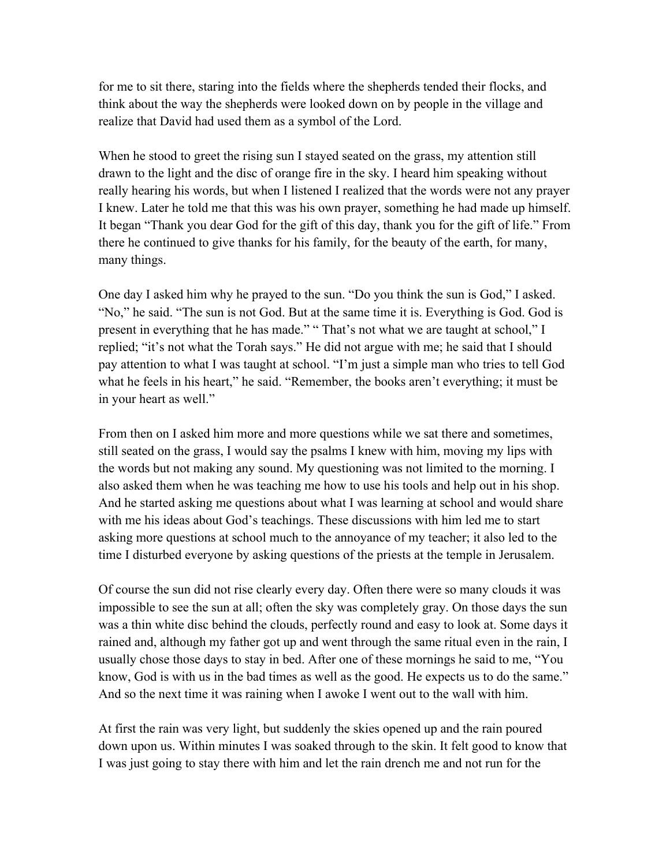for me to sit there, staring into the fields where the shepherds tended their flocks, and think about the way the shepherds were looked down on by people in the village and realize that David had used them as a symbol of the Lord.

When he stood to greet the rising sun I stayed seated on the grass, my attention still drawn to the light and the disc of orange fire in the sky. I heard him speaking without really hearing his words, but when I listened I realized that the words were not any prayer I knew. Later he told me that this was his own prayer, something he had made up himself. It began "Thank you dear God for the gift of this day, thank you for the gift of life." From there he continued to give thanks for his family, for the beauty of the earth, for many, many things.

One day I asked him why he prayed to the sun. "Do you think the sun is God," I asked. "No," he said. "The sun is not God. But at the same time it is. Everything is God. God is present in everything that he has made." " That's not what we are taught at school," I replied; "it's not what the Torah says." He did not argue with me; he said that I should pay attention to what I was taught at school. "I'm just a simple man who tries to tell God what he feels in his heart," he said. "Remember, the books aren't everything; it must be in your heart as well."

From then on I asked him more and more questions while we sat there and sometimes, still seated on the grass, I would say the psalms I knew with him, moving my lips with the words but not making any sound. My questioning was not limited to the morning. I also asked them when he was teaching me how to use his tools and help out in his shop. And he started asking me questions about what I was learning at school and would share with me his ideas about God's teachings. These discussions with him led me to start asking more questions at school much to the annoyance of my teacher; it also led to the time I disturbed everyone by asking questions of the priests at the temple in Jerusalem.

Of course the sun did not rise clearly every day. Often there were so many clouds it was impossible to see the sun at all; often the sky was completely gray. On those days the sun was a thin white disc behind the clouds, perfectly round and easy to look at. Some days it rained and, although my father got up and went through the same ritual even in the rain, I usually chose those days to stay in bed. After one of these mornings he said to me, "You know, God is with us in the bad times as well as the good. He expects us to do the same." And so the next time it was raining when I awoke I went out to the wall with him.

At first the rain was very light, but suddenly the skies opened up and the rain poured down upon us. Within minutes I was soaked through to the skin. It felt good to know that I was just going to stay there with him and let the rain drench me and not run for the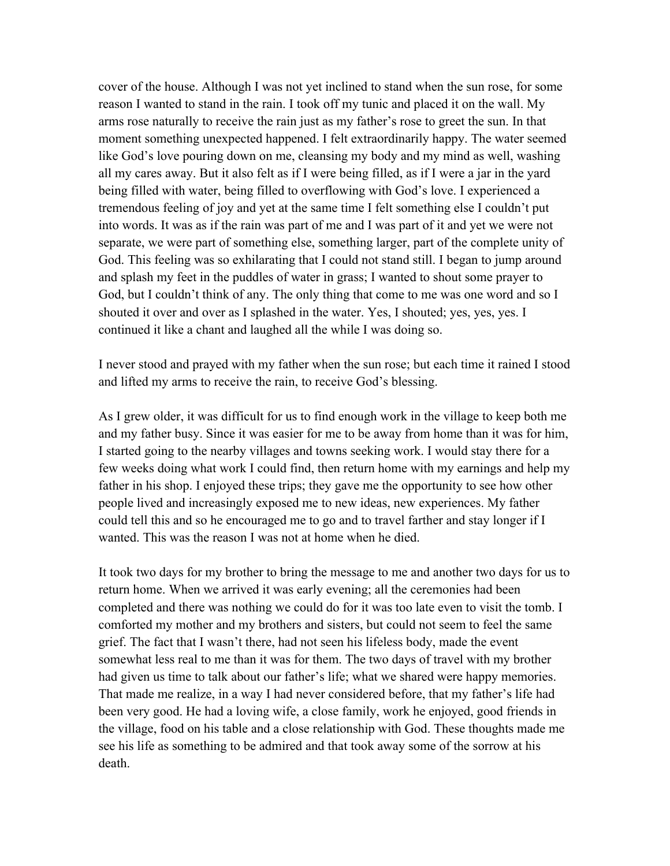cover of the house. Although I was not yet inclined to stand when the sun rose, for some reason I wanted to stand in the rain. I took off my tunic and placed it on the wall. My arms rose naturally to receive the rain just as my father's rose to greet the sun. In that moment something unexpected happened. I felt extraordinarily happy. The water seemed like God's love pouring down on me, cleansing my body and my mind as well, washing all my cares away. But it also felt as if I were being filled, as if I were a jar in the yard being filled with water, being filled to overflowing with God's love. I experienced a tremendous feeling of joy and yet at the same time I felt something else I couldn't put into words. It was as if the rain was part of me and I was part of it and yet we were not separate, we were part of something else, something larger, part of the complete unity of God. This feeling was so exhilarating that I could not stand still. I began to jump around and splash my feet in the puddles of water in grass; I wanted to shout some prayer to God, but I couldn't think of any. The only thing that come to me was one word and so I shouted it over and over as I splashed in the water. Yes, I shouted; yes, yes, yes. I continued it like a chant and laughed all the while I was doing so.

I never stood and prayed with my father when the sun rose; but each time it rained I stood and lifted my arms to receive the rain, to receive God's blessing.

As I grew older, it was difficult for us to find enough work in the village to keep both me and my father busy. Since it was easier for me to be away from home than it was for him, I started going to the nearby villages and towns seeking work. I would stay there for a few weeks doing what work I could find, then return home with my earnings and help my father in his shop. I enjoyed these trips; they gave me the opportunity to see how other people lived and increasingly exposed me to new ideas, new experiences. My father could tell this and so he encouraged me to go and to travel farther and stay longer if I wanted. This was the reason I was not at home when he died.

It took two days for my brother to bring the message to me and another two days for us to return home. When we arrived it was early evening; all the ceremonies had been completed and there was nothing we could do for it was too late even to visit the tomb. I comforted my mother and my brothers and sisters, but could not seem to feel the same grief. The fact that I wasn't there, had not seen his lifeless body, made the event somewhat less real to me than it was for them. The two days of travel with my brother had given us time to talk about our father's life; what we shared were happy memories. That made me realize, in a way I had never considered before, that my father's life had been very good. He had a loving wife, a close family, work he enjoyed, good friends in the village, food on his table and a close relationship with God. These thoughts made me see his life as something to be admired and that took away some of the sorrow at his death.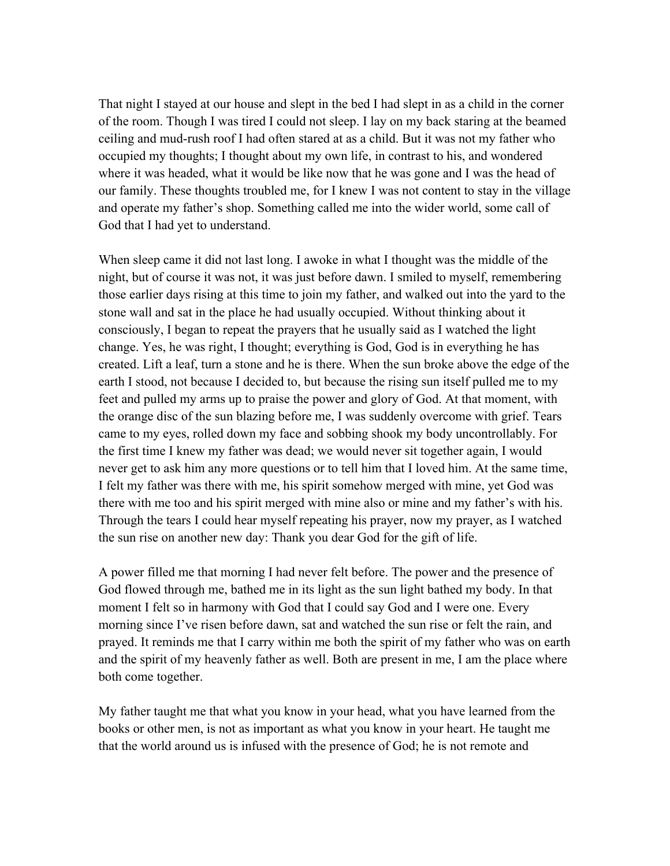That night I stayed at our house and slept in the bed I had slept in as a child in the corner of the room. Though I was tired I could not sleep. I lay on my back staring at the beamed ceiling and mud-rush roof I had often stared at as a child. But it was not my father who occupied my thoughts; I thought about my own life, in contrast to his, and wondered where it was headed, what it would be like now that he was gone and I was the head of our family. These thoughts troubled me, for I knew I was not content to stay in the village and operate my father's shop. Something called me into the wider world, some call of God that I had yet to understand.

When sleep came it did not last long. I awoke in what I thought was the middle of the night, but of course it was not, it was just before dawn. I smiled to myself, remembering those earlier days rising at this time to join my father, and walked out into the yard to the stone wall and sat in the place he had usually occupied. Without thinking about it consciously, I began to repeat the prayers that he usually said as I watched the light change. Yes, he was right, I thought; everything is God, God is in everything he has created. Lift a leaf, turn a stone and he is there. When the sun broke above the edge of the earth I stood, not because I decided to, but because the rising sun itself pulled me to my feet and pulled my arms up to praise the power and glory of God. At that moment, with the orange disc of the sun blazing before me, I was suddenly overcome with grief. Tears came to my eyes, rolled down my face and sobbing shook my body uncontrollably. For the first time I knew my father was dead; we would never sit together again, I would never get to ask him any more questions or to tell him that I loved him. At the same time, I felt my father was there with me, his spirit somehow merged with mine, yet God was there with me too and his spirit merged with mine also or mine and my father's with his. Through the tears I could hear myself repeating his prayer, now my prayer, as I watched the sun rise on another new day: Thank you dear God for the gift of life.

A power filled me that morning I had never felt before. The power and the presence of God flowed through me, bathed me in its light as the sun light bathed my body. In that moment I felt so in harmony with God that I could say God and I were one. Every morning since I've risen before dawn, sat and watched the sun rise or felt the rain, and prayed. It reminds me that I carry within me both the spirit of my father who was on earth and the spirit of my heavenly father as well. Both are present in me, I am the place where both come together.

My father taught me that what you know in your head, what you have learned from the books or other men, is not as important as what you know in your heart. He taught me that the world around us is infused with the presence of God; he is not remote and